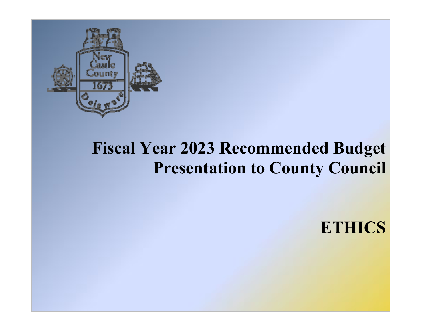

# **Fiscal Year 2023 Recommended Budget Presentation to County Council**

**ETHICS**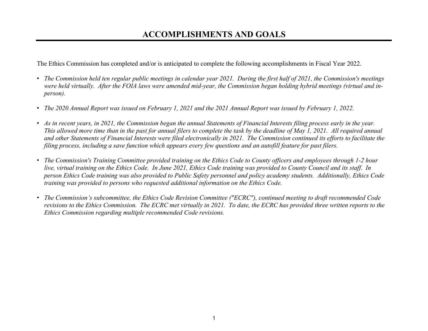## **ACCOMPLISHMENTS AND GOALS**

The Ethics Commission has completed and/or is anticipated to complete the following accomplishments in Fiscal Year 2022.

- *The Commission held ten regular public meetings in calendar year 2021. During the first half of 2021, the Commission's meetings were held virtually. After the FOIA laws were amended mid-year, the Commission began holding hybrid meetings (virtual and inperson).*
- *The 2020 Annual Report was issued on February 1, 2021 and the 2021 Annual Report was issued by February 1, 2022.*
- and other Statements of Financial Interests were filed electronically in 2021. The Commission continued its efforts to facilitate the *filing process, including a save function which appears every few questions and an autofill feature for past filers.*  • *As in recent years, in 2021, the Commission began the annual Statements of Financial Interests filing process early in the year. This allowed more time than in the past for annual filers to complete the task by the deadline of May 1, 2021. All required annual*
- *The Commission's Training Committee provided training on the Ethics Code to County officers and employees through 1-2 hour live, virtual training on the Ethics Code. In June 2021, Ethics Code training was provided to County Council and its staff. In person Ethics Code training was also provided to Public Safety personnel and policy academy students. Additionally, Ethics Code training was provided to persons who requested additional information on the Ethics Code.*
- • *The Commission's subcommittee, the Ethics Code Revision Committee ("ECRC"), continued meeting to draft recommended Code revisions to the Ethics Commission. The ECRC met virtually in 2021. To date, the ECRC has provided three written reports to the Ethics Commission regarding multiple recommended Code revisions.*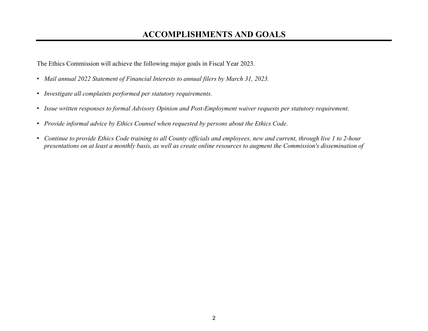## **ACCOMPLISHMENTS AND GOALS**

The Ethics Commission will achieve the following major goals in Fiscal Year 2023.

- *Mail annual 2022 Statement of Financial Interests to annual filers by March 31, 2023.*
- *Investigate all complaints performed per statutory requirements.*
- *Issue written responses to formal Advisory Opinion and Post-Employment waiver requests per statutory requirement.*
- *Provide informal advice by Ethics Counsel when requested by persons about the Ethics Code.*
- *Continue to provide Ethics Code training to all County officials and employees, new and current, through live 1 to 2-hour presentations on at least a monthly basis, as well as create online resources to augment the Commission's dissemination of*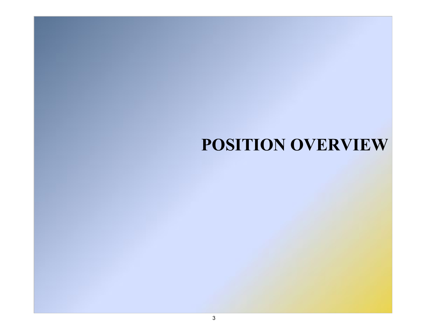## **POSITION OVERVIEW**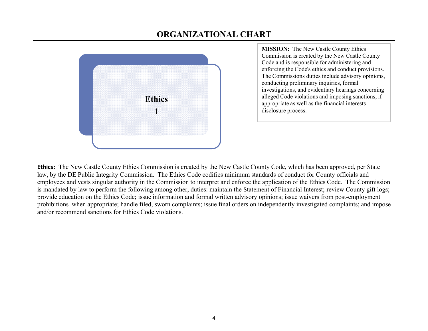## **ORGANIZATIONAL CHART**



**MISSION:** The New Castle County Ethics Commission is created by the New Castle County Code and is responsible for administering and enforcing the Code's ethics and conduct provisions. The Commissions duties include advisory opinions, conducting preliminary inquiries, formal investigations, and evidentiary hearings concerning alleged Code violations and imposing sanctions, if appropriate as well as the financial interests disclosure process.

**Ethics:** The New Castle County Ethics Commission is created by the New Castle County Code, which has been approved, per State law, by the DE Public Integrity Commission. The Ethics Code codifies minimum standards of conduct for County officials and employees and vests singular authority in the Commission to interpret and enforce the application of the Ethics Code. The Commission is mandated by law to perform the following among other, duties: maintain the Statement of Financial Interest; review County gift logs; provide education on the Ethics Code; issue information and formal written advisory opinions; issue waivers from post-employment prohibitions when appropriate; handle filed, sworn complaints; issue final orders on independently investigated complaints; and impose and/or recommend sanctions for Ethics Code violations.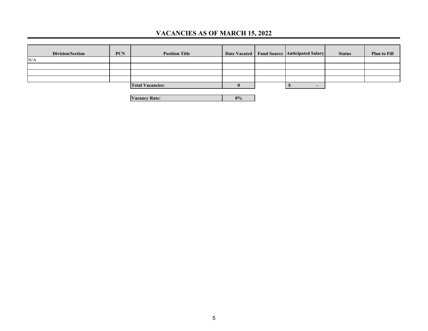### **VACANCIES AS OF MARCH 15, 2022**

| <b>Division/Section</b> | <b>PCN</b> | <b>Position Title</b>   |  | Date Vacated   Fund Source   Anticipated Salary | <b>Status</b> | <b>Plan to Fill</b> |
|-------------------------|------------|-------------------------|--|-------------------------------------------------|---------------|---------------------|
| N/A                     |            |                         |  |                                                 |               |                     |
|                         |            |                         |  |                                                 |               |                     |
|                         |            |                         |  |                                                 |               |                     |
|                         |            |                         |  |                                                 |               |                     |
|                         |            | <b>Total Vacancies:</b> |  |                                                 |               |                     |
|                         |            |                         |  |                                                 |               |                     |

**Vacancy Rate: 0%**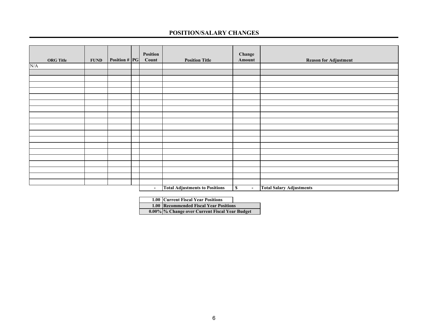#### **POSITION/SALARY CHANGES**

|                         |             |               | Position       |                                       | Change                        |                                 |
|-------------------------|-------------|---------------|----------------|---------------------------------------|-------------------------------|---------------------------------|
| <b>ORG</b> Title        | <b>FUND</b> | Position # PG | Count          | <b>Position Title</b>                 | Amount                        | <b>Reason for Adjustment</b>    |
| $\overline{\text{N/A}}$ |             |               |                |                                       |                               |                                 |
|                         |             |               |                |                                       |                               |                                 |
|                         |             |               |                |                                       |                               |                                 |
|                         |             |               |                |                                       |                               |                                 |
|                         |             |               |                |                                       |                               |                                 |
|                         |             |               |                |                                       |                               |                                 |
|                         |             |               |                |                                       |                               |                                 |
|                         |             |               |                |                                       |                               |                                 |
|                         |             |               |                |                                       |                               |                                 |
|                         |             |               |                |                                       |                               |                                 |
|                         |             |               |                |                                       |                               |                                 |
|                         |             |               |                |                                       |                               |                                 |
|                         |             |               |                |                                       |                               |                                 |
|                         |             |               |                |                                       |                               |                                 |
|                         |             |               |                |                                       |                               |                                 |
|                         |             |               |                |                                       |                               |                                 |
|                         |             |               |                |                                       |                               |                                 |
|                         |             |               |                |                                       |                               |                                 |
|                         |             |               |                |                                       |                               |                                 |
|                         |             |               |                |                                       |                               |                                 |
|                         |             |               | $\blacksquare$ | <b>Total Adjustments to Positions</b> | $\mathbb S$<br>$\blacksquare$ | <b>Total Salary Adjustments</b> |

| 1.00 Current Fiscal Year Positions             |
|------------------------------------------------|
| <b>1.00 Recommended Fiscal Year Positions</b>  |
| 0.00% % Change over Current Fiscal Year Budget |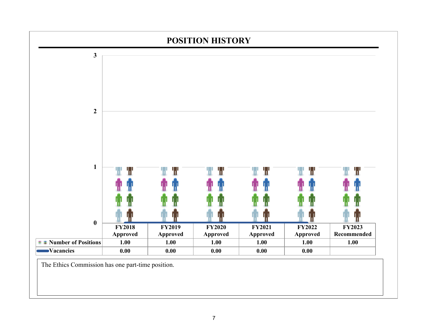

The Ethics Commission has one part-time position.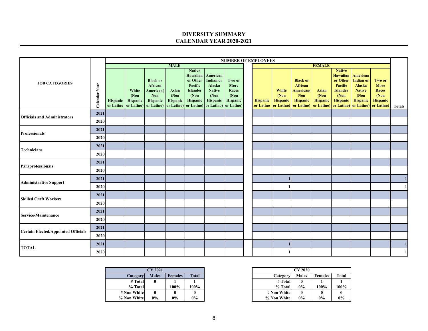#### **DIVERSITY SUMMARY CALENDAR YEAR 2020-2021**

|                                            |                  |          |                            |                                                                                                                                                       |                           |                                                                                         |                                                                       | <b>NUMBER OF EMPLOYEES</b>                   |                              |                            |                                                                                                   |                                          |                                                                                                       |                                                                                     |                                                                                                    |               |
|--------------------------------------------|------------------|----------|----------------------------|-------------------------------------------------------------------------------------------------------------------------------------------------------|---------------------------|-----------------------------------------------------------------------------------------|-----------------------------------------------------------------------|----------------------------------------------|------------------------------|----------------------------|---------------------------------------------------------------------------------------------------|------------------------------------------|-------------------------------------------------------------------------------------------------------|-------------------------------------------------------------------------------------|----------------------------------------------------------------------------------------------------|---------------|
|                                            |                  |          |                            |                                                                                                                                                       | <b>MALE</b>               |                                                                                         |                                                                       |                                              |                              |                            |                                                                                                   | <b>FEMALE</b>                            |                                                                                                       |                                                                                     |                                                                                                    |               |
| <b>JOB CATEGORIES</b>                      | Year<br>Calendar | Hispanic | White<br>(Non)<br>Hispanic | <b>Black or</b><br>African<br>American(<br><b>Non</b><br>Hispanic<br>or Latino or Latino) or Latino or Latino or Latino or Latino or Latino or Latino | Asian<br>(Non<br>Hispanic | <b>Native</b><br>Hawaiian<br>or Other<br>Pacific<br><b>Islander</b><br>(Non<br>Hispanic | American<br>Indian or<br>Alaska<br><b>Native</b><br>(Non)<br>Hispanic | Two or<br>More<br>Races<br>(Non)<br>Hispanic | <b>Hispanic</b><br>or Latino | White<br>(Non)<br>Hispanic | <b>Black or</b><br>African<br>American(<br><b>Non</b><br><b>Hispanic</b><br>or Latino) or Latino) | <b>Asian</b><br>(Non)<br><b>Hispanic</b> | <b>Native</b><br><b>Hawaiian</b><br>or Other<br>Pacific<br><b>Islander</b><br>(Non<br><b>Hispanic</b> | American<br><b>Indian or</b><br>Alaska<br><b>Native</b><br>(Non)<br><b>Hispanic</b> | Two or<br><b>More</b><br>Races<br>(Non)<br>Hispanic<br>or Latino) or Latino) or Latino) or Latino) | <b>Totals</b> |
| <b>Officials and Administrators</b>        | 2021             |          |                            |                                                                                                                                                       |                           |                                                                                         |                                                                       |                                              |                              |                            |                                                                                                   |                                          |                                                                                                       |                                                                                     |                                                                                                    |               |
|                                            | 2020             |          |                            |                                                                                                                                                       |                           |                                                                                         |                                                                       |                                              |                              |                            |                                                                                                   |                                          |                                                                                                       |                                                                                     |                                                                                                    |               |
| <b>Professionals</b>                       | 2021             |          |                            |                                                                                                                                                       |                           |                                                                                         |                                                                       |                                              |                              |                            |                                                                                                   |                                          |                                                                                                       |                                                                                     |                                                                                                    |               |
|                                            | 2020             |          |                            |                                                                                                                                                       |                           |                                                                                         |                                                                       |                                              |                              |                            |                                                                                                   |                                          |                                                                                                       |                                                                                     |                                                                                                    |               |
| <b>Technicians</b>                         | 2021             |          |                            |                                                                                                                                                       |                           |                                                                                         |                                                                       |                                              |                              |                            |                                                                                                   |                                          |                                                                                                       |                                                                                     |                                                                                                    |               |
|                                            | 2020             |          |                            |                                                                                                                                                       |                           |                                                                                         |                                                                       |                                              |                              |                            |                                                                                                   |                                          |                                                                                                       |                                                                                     |                                                                                                    |               |
| <b>Paraprofessionals</b>                   | 2021             |          |                            |                                                                                                                                                       |                           |                                                                                         |                                                                       |                                              |                              |                            |                                                                                                   |                                          |                                                                                                       |                                                                                     |                                                                                                    |               |
|                                            | 2020             |          |                            |                                                                                                                                                       |                           |                                                                                         |                                                                       |                                              |                              |                            |                                                                                                   |                                          |                                                                                                       |                                                                                     |                                                                                                    |               |
| <b>Administrative Support</b>              | 2021             |          |                            |                                                                                                                                                       |                           |                                                                                         |                                                                       |                                              |                              |                            |                                                                                                   |                                          |                                                                                                       |                                                                                     |                                                                                                    |               |
|                                            | 2020             |          |                            |                                                                                                                                                       |                           |                                                                                         |                                                                       |                                              |                              |                            |                                                                                                   |                                          |                                                                                                       |                                                                                     |                                                                                                    |               |
| <b>Skilled Craft Workers</b>               | 2021             |          |                            |                                                                                                                                                       |                           |                                                                                         |                                                                       |                                              |                              |                            |                                                                                                   |                                          |                                                                                                       |                                                                                     |                                                                                                    |               |
|                                            | 2020             |          |                            |                                                                                                                                                       |                           |                                                                                         |                                                                       |                                              |                              |                            |                                                                                                   |                                          |                                                                                                       |                                                                                     |                                                                                                    |               |
| <b>Service-Maintenance</b>                 | 2021             |          |                            |                                                                                                                                                       |                           |                                                                                         |                                                                       |                                              |                              |                            |                                                                                                   |                                          |                                                                                                       |                                                                                     |                                                                                                    |               |
|                                            | 2020             |          |                            |                                                                                                                                                       |                           |                                                                                         |                                                                       |                                              |                              |                            |                                                                                                   |                                          |                                                                                                       |                                                                                     |                                                                                                    |               |
| <b>Certain Elected/Appointed Officials</b> | 2021             |          |                            |                                                                                                                                                       |                           |                                                                                         |                                                                       |                                              |                              |                            |                                                                                                   |                                          |                                                                                                       |                                                                                     |                                                                                                    |               |
|                                            | 2020             |          |                            |                                                                                                                                                       |                           |                                                                                         |                                                                       |                                              |                              |                            |                                                                                                   |                                          |                                                                                                       |                                                                                     |                                                                                                    |               |
| <b>TOTAL</b>                               | 2021             |          |                            |                                                                                                                                                       |                           |                                                                                         |                                                                       |                                              |                              |                            |                                                                                                   |                                          |                                                                                                       |                                                                                     |                                                                                                    |               |
|                                            | 2020             |          |                            |                                                                                                                                                       |                           |                                                                                         |                                                                       |                                              |                              | 1                          |                                                                                                   |                                          |                                                                                                       |                                                                                     |                                                                                                    | 1             |

|             | <b>CY 2021</b> |                |              |
|-------------|----------------|----------------|--------------|
| Category    | <b>Males</b>   | <b>Females</b> | <b>Total</b> |
| # Total     | 0              |                |              |
| % Total     |                | 100%           | 100%         |
| # Non White | 0              | 0              |              |
| % Non White | 0%             | 0%             | $0\%$        |

|             | <b>CY 2021</b> |                |       |             | <b>CY 2020</b> |                |       |
|-------------|----------------|----------------|-------|-------------|----------------|----------------|-------|
| Category    | <b>Males</b>   | <b>Females</b> | Total | Category    | <b>Males</b>   | <b>Females</b> | Total |
| # Total     |                |                |       | # Total     |                |                |       |
| % Total     |                | 100%           | 100%  | % Total     | $0\%$          | 100%           | 100%  |
| # Non White |                |                |       | # Non White |                |                |       |
| % Non White | $0\%$          | $0\%$          | $0\%$ | % Non White | $0\%$          | $0\%$          | $0\%$ |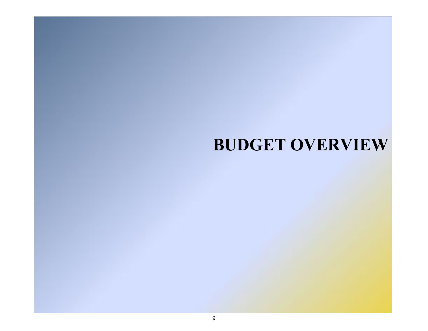## **BUDGET OVERVIEW**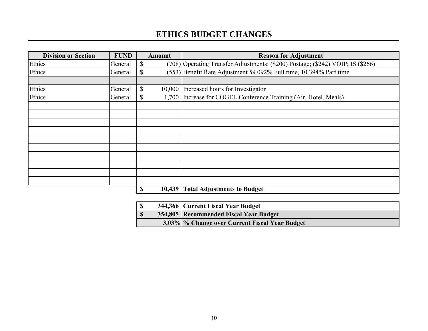### **ETHICS BUDGET CHANGES**

| <b>Division or Section</b> | <b>FUND</b> |              | <b>Amount</b> | <b>Reason for Adjustment</b>                                                    |
|----------------------------|-------------|--------------|---------------|---------------------------------------------------------------------------------|
| Ethics                     | General     | S            |               | (708) Operating Transfer Adjustments: (\$200) Postage; (\$242) VOIP; IS (\$266) |
| Ethics                     | General     | $\mathbb{S}$ |               | (553) Benefit Rate Adjustment 59.092% Full time, 10.394% Part time              |
|                            |             |              |               |                                                                                 |
| Ethics                     | General     | $\mathbb{S}$ |               | 10,000 Increased hours for Investigator                                         |
| Ethics                     | General     | $\mathbb{S}$ |               | 1,700 Increase for COGEL Conference Training (Air, Hotel, Meals)                |
|                            |             |              |               |                                                                                 |
|                            |             |              |               |                                                                                 |
|                            |             |              |               |                                                                                 |
|                            |             |              |               |                                                                                 |
|                            |             |              |               |                                                                                 |
|                            |             |              |               |                                                                                 |
|                            |             |              |               |                                                                                 |
|                            |             |              |               |                                                                                 |
|                            |             |              |               |                                                                                 |
|                            |             |              |               |                                                                                 |
|                            |             | \$           | 10,439        | <b>Total Adjustments to Budget</b>                                              |

|  | 344,366 Current Fiscal Year Budget             |
|--|------------------------------------------------|
|  | 354,805 Recommended Fiscal Year Budget         |
|  | 3.03% % Change over Current Fiscal Year Budget |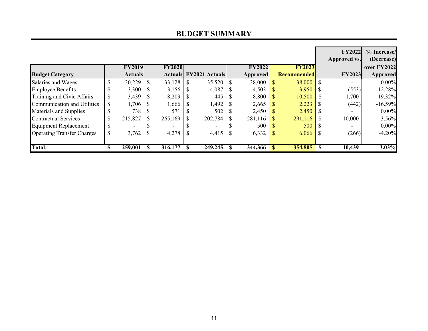|                                   |   |                |   |               |                               |               |    |                    |    | <b>FY2022</b><br><b>Approved vs.</b> | % Increase/<br>(Decrease) |
|-----------------------------------|---|----------------|---|---------------|-------------------------------|---------------|----|--------------------|----|--------------------------------------|---------------------------|
|                                   |   | <b>FY2019</b>  |   | <b>FY2020</b> |                               | <b>FY2022</b> |    | <b>FY2023</b>      |    |                                      | over FY2022               |
| <b>Budget Category</b>            |   | <b>Actuals</b> |   |               | <b>Actuals FY2021 Actuals</b> | Approved      |    | <b>Recommended</b> |    | <b>FY2023</b>                        | <b>Approved</b>           |
| Salaries and Wages                |   | 30,229         |   | 33,128        | 35,520                        | 38,000        |    | 38,000             | -S |                                      | $0.00\%$                  |
| <b>Employee Benefits</b>          |   | 3,300          |   | 3,156         | 4,087                         | 4,503         |    | 3,950              |    | (553)                                | $-12.28%$                 |
| Training and Civic Affairs        |   | 3,439          |   | 8,209         | 445                           | 8,800         |    | 10,500             |    | 1,700                                | 19.32%                    |
| Communication and Utilities       | S | 1,706          |   | 1,666         | 1,492                         | 2,665         |    | 2,223              |    | (442)                                | $-16.59%$                 |
| Materials and Supplies            |   | 738            |   | 571           | 502                           | 2,450         |    | 2,450              |    |                                      | $0.00\%$                  |
| <b>Contractual Services</b>       |   | 215,827        | S | 265,169       | 202,784                       | 281,116       |    | 291,116            |    | 10,000                               | 3.56%                     |
| <b>Equipment Replacement</b>      |   |                |   |               |                               | 500           |    | 500                |    |                                      | $0.00\%$                  |
| <b>Operating Transfer Charges</b> | S | 3,762          |   | 4,278         | 4,415                         | 6,332         |    | 6,066              |    | (266)                                | $-4.20%$                  |
| <b>Total:</b>                     |   | 259,001        |   | 316,177       | 249,245                       | 344,366       | -S | 354,805            | -S | 10,439                               | 3.03%                     |

#### **BUDGET SUMMARY**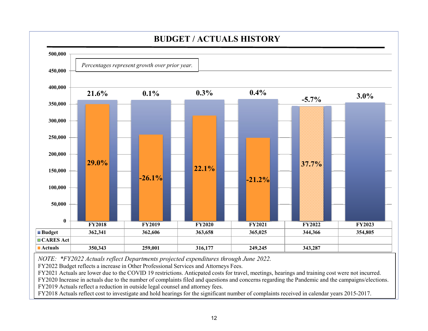

*NOTE: \*FY2022 Actuals reflect Departments projected expenditures through June 2022.*

FY2022 Budget reflects a increase in Other Professional Services and Attorneys Fees.

FY2021 Actuals are lower due to the COVID 19 restrictions. Anticpated costs for travel, meetings, hearings and training cost were not incurred.

FY2020 Increase in actuals due to the number of complaints filed and questions and concerns regarding the Pandemic and the campaigns/elections. FY2019 Actuals reflect a reduction in outside legal counsel and attorney fees.

FY2018 Actuals reflect cost to investigate and hold hearings for the significant number of complaints received in calendar years 2015-2017.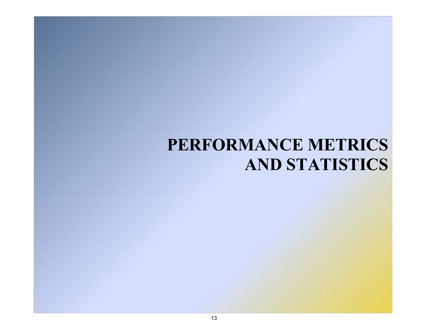## **PERFORMANCE METRICS AND STATISTICS**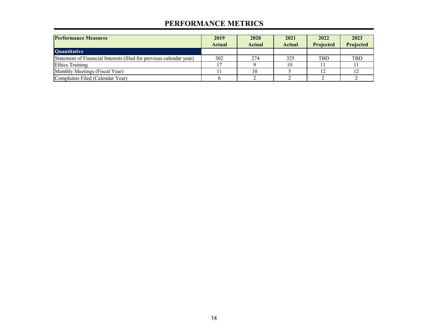#### **PERFORMANCE METRICS**

| <b>Performance Measures</b>                                         | 2019<br><b>Actual</b> | 2020<br><b>Actual</b> | 2021<br><b>Actual</b> | 2022<br><b>Projected</b> | 2023<br>Projected |
|---------------------------------------------------------------------|-----------------------|-----------------------|-----------------------|--------------------------|-------------------|
| <b>Quantitative</b>                                                 |                       |                       |                       |                          |                   |
| Statement of Financial Interests (filed for previous calendar year) | 302                   | 274                   | 325                   | <b>TBD</b>               | <b>TBD</b>        |
| <b>Ethics Training</b>                                              |                       |                       | 10                    |                          |                   |
| Monthly Meetings (Fiscal Year)                                      |                       |                       |                       |                          |                   |
| Complaints Filed (Calendar Year)                                    |                       |                       |                       |                          |                   |